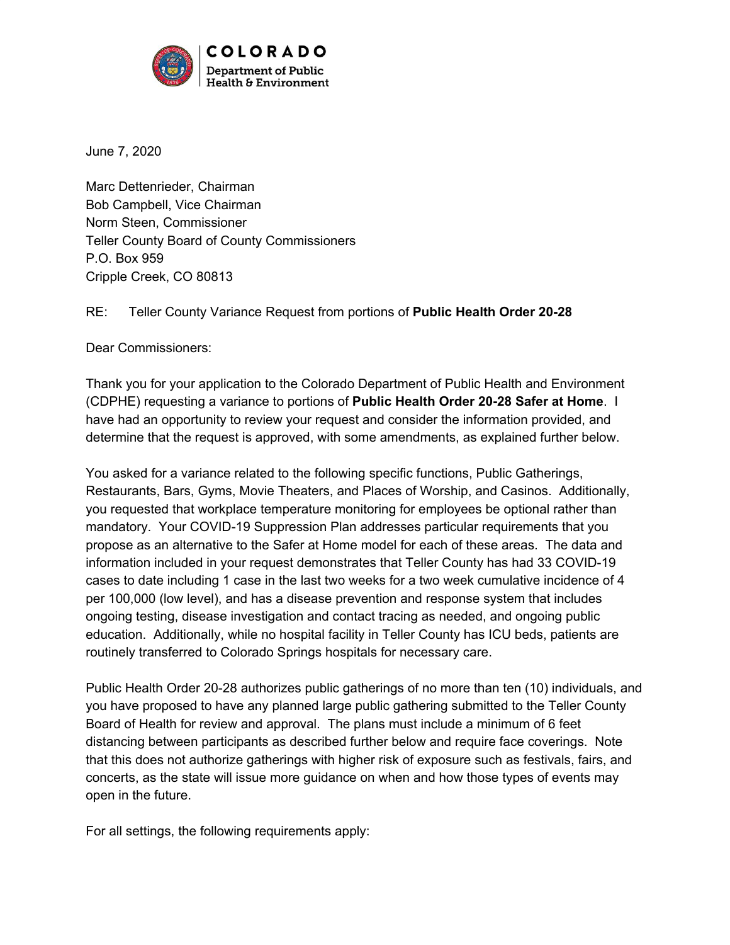

June 7, 2020

Marc Dettenrieder, Chairman Bob Campbell, Vice Chairman Norm Steen, Commissioner Teller County Board of County Commissioners P.O. Box 959 Cripple Creek, CO 80813

## RE: Teller County Variance Request from portions of **Public Health Order 20-28**

Dear Commissioners:

Thank you for your application to the Colorado Department of Public Health and Environment (CDPHE) requesting a variance to portions of **Public Health Order 20-28 Safer at Home**. I have had an opportunity to review your request and consider the information provided, and determine that the request is approved, with some amendments, as explained further below.

You asked for a variance related to the following specific functions, Public Gatherings, Restaurants, Bars, Gyms, Movie Theaters, and Places of Worship, and Casinos. Additionally, you requested that workplace temperature monitoring for employees be optional rather than mandatory. Your COVID-19 Suppression Plan addresses particular requirements that you propose as an alternative to the Safer at Home model for each of these areas. The data and information included in your request demonstrates that Teller County has had 33 COVID-19 cases to date including 1 case in the last two weeks for a two week cumulative incidence of 4 per 100,000 (low level), and has a disease prevention and response system that includes ongoing testing, disease investigation and contact tracing as needed, and ongoing public education. Additionally, while no hospital facility in Teller County has ICU beds, patients are routinely transferred to Colorado Springs hospitals for necessary care.

Public Health Order 20-28 authorizes public gatherings of no more than ten (10) individuals, and you have proposed to have any planned large public gathering submitted to the Teller County Board of Health for review and approval. The plans must include a minimum of 6 feet distancing between participants as described further below and require face coverings. Note that this does not authorize gatherings with higher risk of exposure such as festivals, fairs, and concerts, as the state will issue more guidance on when and how those types of events may open in the future.

For all settings, the following requirements apply: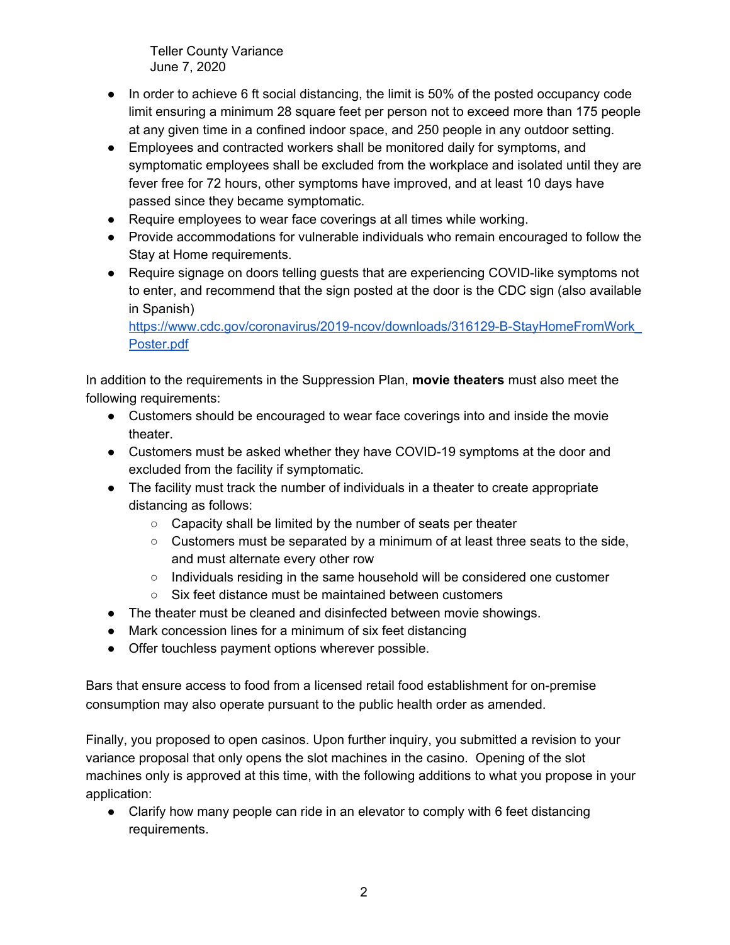Teller County Variance June 7, 2020

- In order to achieve 6 ft social distancing, the limit is 50% of the posted occupancy code limit ensuring a minimum 28 square feet per person not to exceed more than 175 people at any given time in a confined indoor space, and 250 people in any outdoor setting.
- Employees and contracted workers shall be monitored daily for symptoms, and symptomatic employees shall be excluded from the workplace and isolated until they are fever free for 72 hours, other symptoms have improved, and at least 10 days have passed since they became symptomatic.
- Require employees to wear face coverings at all times while working.
- Provide accommodations for vulnerable individuals who remain encouraged to follow the Stay at Home requirements.
- Require signage on doors telling quests that are experiencing COVID-like symptoms not to enter, and recommend that the sign posted at the door is the CDC sign (also available in Spanish)

[https://www.cdc.gov/coronavirus/2019-ncov/downloads/316129-B-StayHomeFromWork\\_](https://www.cdc.gov/coronavirus/2019-ncov/downloads/316129-B-StayHomeFromWork_Poster.pdf) [Poster.pdf](https://www.cdc.gov/coronavirus/2019-ncov/downloads/316129-B-StayHomeFromWork_Poster.pdf)

In addition to the requirements in the Suppression Plan, **movie theaters** must also meet the following requirements:

- Customers should be encouraged to wear face coverings into and inside the movie theater.
- Customers must be asked whether they have COVID-19 symptoms at the door and excluded from the facility if symptomatic.
- The facility must track the number of individuals in a theater to create appropriate distancing as follows:
	- Capacity shall be limited by the number of seats per theater
	- $\circ$  Customers must be separated by a minimum of at least three seats to the side, and must alternate every other row
	- Individuals residing in the same household will be considered one customer
	- Six feet distance must be maintained between customers
- The theater must be cleaned and disinfected between movie showings.
- Mark concession lines for a minimum of six feet distancing
- Offer touchless payment options wherever possible.

Bars that ensure access to food from a licensed retail food establishment for on-premise consumption may also operate pursuant to the public health order as amended.

Finally, you proposed to open casinos. Upon further inquiry, you submitted a revision to your variance proposal that only opens the slot machines in the casino. Opening of the slot machines only is approved at this time, with the following additions to what you propose in your application:

● Clarify how many people can ride in an elevator to comply with 6 feet distancing requirements.